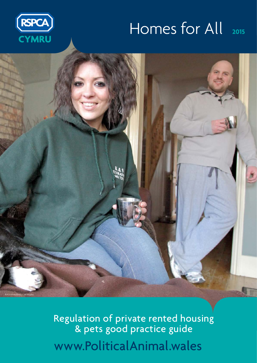#### Homes for All **2015**





[www.PoliticalAnimal.wales](http://politicalanimal.org.uk/wales/) Regulation of private rented housing & pets good practice guide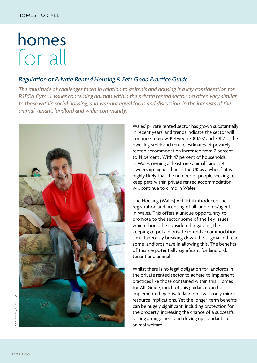### homes for all

#### *Regulation of Private Rented Housing & Pets Good Practice Guide*

*The multitude of challenges faced in relation to animals and housing is a key consideration for RSPCA Cymru. Issues concerning animals within the private rented sector are often very similar*  to those within social housing, and warrant equal focus and discussion, in the interests of the *animal, tenant, landlord and wider community.*



Wales' private rented sector has grown substantially in recent years, and trends indicate the sector will continue to grow. Between 2001/02 and 2011/12, the dwelling stock and tenure estimates of privately rented accommodation increased from 7 percent to 14 percent<sup>1</sup>. With 47 percent of households in Wales owning at least one animal<sup>2</sup>, and pet ownership higher than in the UK as a whole<sup>3</sup>, it is highly likely that the number of people seeking to keep pets within private rented accommodation will continue to climb in Wales.

The Housing (Wales) Act 2014 introduced the registration and licensing of all landlords/agents in Wales. This offers a unique opportunity to promote to the sector some of the key issues which should be considered regarding the keeping of pets in private rented accommodation, simultaneously breaking down the stigma and fear some landlords have in allowing this. The benefits of this are potentially significant for landlord, tenant and animal.

Whilst there is no legal obligation for landlords in the private rented sector to adhere to implement practices like those contained within this 'Homes for All' Guide, much of this guidance can be implemented by private landlords with only minor resource implications. Yet the longer-term benefits can be hugely significant, including protection for the property, increasing the chance of a successful letting arrangement and driving up standards of animal welfare.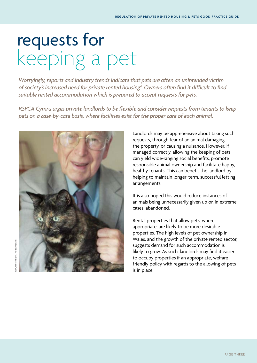# requests for keeping a pet

*Worryingly, reports and industry trends indicate that pets are often an unintended victim of society's increased need for private rented housing4 . Owners often find it difficult to find suitable rented accommodation which is prepared to accept requests for pets.* 

*RSPCA Cymru urges private landlords to be flexible and consider requests from tenants to keep pets on a case-by-case basis, where facilities exist for the proper care of each animal.*



Landlords may be apprehensive about taking such requests, through fear of an animal damaging the property, or causing a nuisance. However, if managed correctly, allowing the keeping of pets can yield wide-ranging social benefits, promote responsible animal ownership and facilitate happy, healthy tenants. This can benefit the landlord by helping to maintain longer-term, successful letting arrangements.

It is also hoped this would reduce instances of animals being unnecessarily given up or, in extreme cases, abandoned.

Rental properties that allow pets, where appropriate, are likely to be more desirable properties. The high levels of pet ownership in Wales, and the growth of the private rented sector, suggests demand for such accommodation is likely to grow. As such, landlords may find it easier to occupy properties if an appropriate, welfarefriendly policy with regards to the allowing of pets is in place.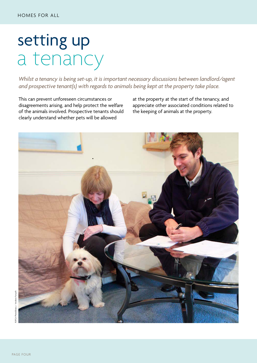## setting up a tenancy

*Whilst a tenancy is being set-up, it is important necessary discussions between landlord/agent and prospective tenant(s) with regards to animals being kept at the property take place.* 

This can prevent unforeseen circumstances or disagreements arising, and help protect the welfare of the animals involved. Prospective tenants should clearly understand whether pets will be allowed

at the property at the start of the tenancy, and appreciate other associated conditions related to the keeping of animals at the property.

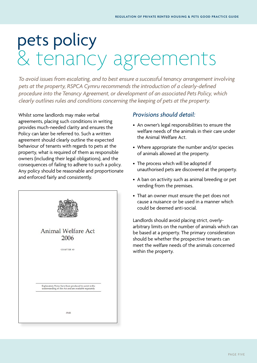# pets policy & tenancy agreements

*To avoid issues from escalating, and to best ensure a successful tenancy arrangement involving pets at the property, RSPCA Cymru recommends the introduction of a clearly-defined procedure into the Tenancy Agreement, or development of an associated Pets Policy, which clearly outlines rules and conditions concerning the keeping of pets at the property.*

Whilst some landlords may make verbal agreements, placing such conditions in writing provides much-needed clarity and ensures the Policy can later be referred to. Such a written agreement should clearly outline the expected behaviour of tenants with regards to pets at the property, what is required of them as responsible owners (including their legal obligations), and the consequences of failing to adhere to such a policy. Any policy should be reasonable and proportionate and enforced fairly and consistently.



#### *Provisions should detail:*

- An owner's legal responsibilities to ensure the welfare needs of the animals in their care under the Animal Welfare Act.
- Where appropriate the number and/or species of animals allowed at the property.
- The process which will be adopted if unauthorised pets are discovered at the property.
- A ban on activity such as animal breeding or pet vending from the premises.
- That an owner must ensure the pet does not cause a nuisance or be used in a manner which could be deemed anti-social.

Landlords should avoid placing strict, overlyarbitrary limits on the number of animals which can be based at a property. The primary consideration should be whether the prospective tenants can meet the welfare needs of the animals concerned within the property.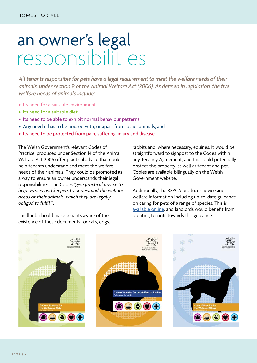### an owner's legal responsibilities

*All tenants responsible for pets have a legal requirement to meet the welfare needs of their animals, under section 9 of the Animal Welfare Act (2006). As defined in legislation, the five welfare needs of animals include:*

- Its need for a suitable environment
- Its need for a suitable diet
- Its need to be able to exhibit normal behaviour patterns
- Any need it has to be housed with, or apart from, other animals, and
- Its need to be protected from pain, suffering, injury and disease

The Welsh Government's relevant Codes of Practice, produced under Section 14 of the Animal Welfare Act 2006 offer practical advice that could help tenants understand and meet the welfare needs of their animals. They could be promoted as a way to ensure an owner understands their legal responsibilities. The Codes *"give practical advice to help owners and keepers to understand the welfare needs of their animals, which they are legally obliged to fulfil"5 .* 

Landlords should make tenants aware of the existence of these documents for cats, dogs,

rabbits and, where necessary, equines. It would be straightforward to signpost to the Codes within any Tenancy Agreement, and this could potentially protect the property, as well as tenant and pet. Copies are available bilingually on the Welsh Government website.

Additionally, the RSPCA produces advice and welfare information including up-to-date guidance on caring for pets of a range of species. This is [available online,](http://gov.wales/topics/environmentcountryside/ahw/animalwelfare/pets/codesofpractice/?lang=en) and landlords would benefit from pointing tenants towards this guidance.

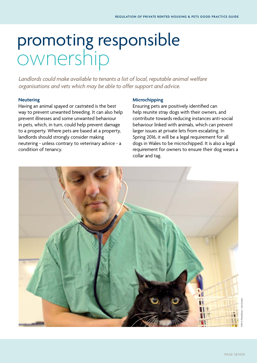### promoting responsible ownership

*Landlords could make available to tenants a list of local, reputable animal welfare organisations and vets which may be able to offer support and advice.* 

#### **Neutering**

Having an animal spayed or castrated is the best way to prevent unwanted breeding. It can also help prevent illnesses and some unwanted behaviour in pets, which, in turn, could help prevent damage to a property. Where pets are based at a property, landlords should strongly consider making neutering - unless contrary to veterinary advice - a condition of tenancy.

#### **Microchipping**

Ensuring pets are positively identified can help reunite stray dogs with their owners, and contribute towards reducing instances anti-social behaviour linked with animals, which can prevent larger issues at private lets from escalating. In Spring 2016, it will be a legal requirement for all dogs in Wales to be microchipped. It is also a legal requirement for owners to ensure their dog wears a collar and tag.

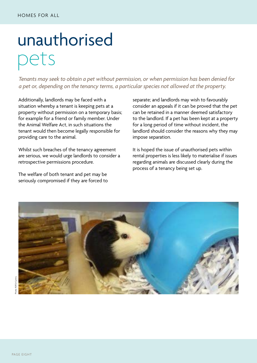# unauthorised pets

*Tenants may seek to obtain a pet without permission, or when permission has been denied for a pet or, depending on the tenancy terms, a particular species not allowed at the property.* 

Additionally, landlords may be faced with a situation whereby a tenant is keeping pets at a property without permission on a temporary basis; for example for a friend or family member. Under the Animal Welfare Act, in such situations the tenant would then become legally responsible for providing care to the animal.

Whilst such breaches of the tenancy agreement are serious, we would urge landlords to consider a retrospective permissions procedure.

The welfare of both tenant and pet may be seriously compromised if they are forced to separate; and landlords may wish to favourably consider an appeals if it can be proved that the pet can be retained in a manner deemed satisfactory to the landlord. If a pet has been kept at a property for a long period of time without incident, the landlord should consider the reasons why they may impose separation.

It is hoped the issue of unauthorised pets within rental properties is less likely to materialise if issues regarding animals are discussed clearly during the process of a tenancy being set up.

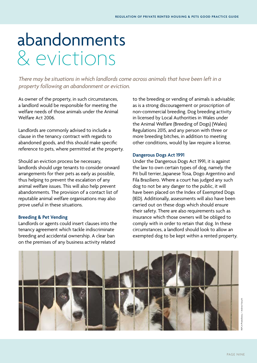## abandonments & evictions

*There may be situations in which landlords come across animals that have been left in a property following an abandonment or eviction.*

As owner of the property, in such circumstances, a landlord would be responsible for meeting the welfare needs of those animals under the Animal Welfare Act 2006.

Landlords are commonly advised to include a clause in the tenancy contract with regards to abandoned goods, and this should make specific reference to pets, where permitted at the property.

Should an eviction process be necessary, landlords should urge tenants to consider onward arrangements for their pets as early as possible, thus helping to prevent the escalation of any animal welfare issues. This will also help prevent abandonments. The provision of a contact list of reputable animal welfare organisations may also prove useful in these situations.

#### **Breeding & Pet Vending**

Landlords or agents could insert clauses into the tenancy agreement which tackle indiscriminate breeding and accidental ownership. A clear ban on the premises of any business activity related

to the breeding or vending of animals is advisable; as is a strong discouragement or proscription of non-commercial breeding. Dog breeding activity in licensed by Local Authorities in Wales under the Animal Welfare (Breeding of Dogs) (Wales) Regulations 2015, and any person with three or more breeding bitches, in addition to meeting other conditions, would by law require a license.

#### **Dangerous Dogs Act 1991**

Under the Dangerous Dogs Act 1991, it is against the law to own certain types of dog, namely the Pit bull terrier, Japanese Tosa, Dogo Argentino and Fila Braziliero. Where a court has judged any such dog to not be any danger to the public, it will have been placed on the Index of Exempted Dogs (IED). Additionally, assessments will also have been carried out on these dogs which should ensure their safety. There are also requirements such as insurance which those owners will be obliged to comply with in order to retain that dog. In these circumstances, a landlord should look to allow an exempted dog to be kept within a rented property.

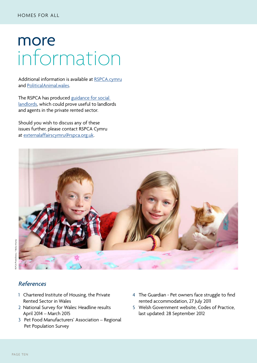### more information

Additional information is available at [RSPCA.cymru](http://www.rspca.org.uk/utilities/aboutus/wales) and [PoliticalAnimal.wales](http://politicalanimal.org.uk/wales/).

The RSPCA has produced guidance for social [landlords,](http://politicalanimal.org.uk/wp-content/uploads/2014/09/RSPCA-A-Guide-to-Good-Practice-Housing.pdf) which could prove useful to landlords and agents in the private rented sector.

Should you wish to discuss any of these issues further, please contact RSPCA Cymru at [externalaffairscymru@rspca.org.uk.](mailto: externalaffairscymru@rspca.org.uk)



#### *References*

- 1 Chartered Institute of Housing, the Private Rented Sector in Wales
- 2 National Survey for Wales: Headline results April 2014 – March 2015
- 3 Pet Food Manufacturers' Association Regional Pet Population Survey
- 4 The Guardian Pet owners face struggle to find rented accommodation, 27 July 2011
- 5 Welsh Government website, Codes of Practice, last updated: 28 September 2012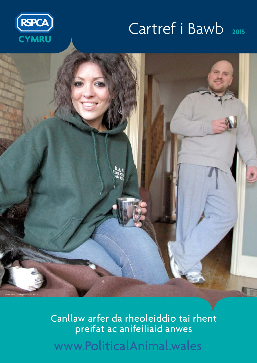#### Cartref i Bawb **<sup>2015</sup>**





[www.PoliticalAnimal.wales](http://www.politicalanimal.wales) Canllaw arfer da rheoleiddio tai rhent preifat ac anifeiliaid anwes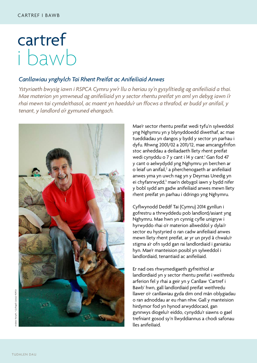## cartref i bawb

#### *Canllawiau ynghylch Tai Rhent Preifat ac Anifeiliaid Anwes*

*Ystyriaeth bwysig iawn i RSPCA Cymru yw'r llu o heriau sy'n gysylltiedig ag anifeiliaid a thai. Mae materion yn ymwneud ag anifeiliaid yn y sector rhentu preifat yn aml yn debyg iawn i'r rhai mewn tai cymdeithasol, ac maent yn haeddu'r un ffocws a thrafod, er budd yr anifail, y tenant, y landlord a'r gymuned ehangach.*



Mae'r sector rhentu preifat wedi tyfu'n sylweddol yng Nghymru yn y blynyddoedd diwethaf, ac mae tueddiadau yn dangos y bydd y sector yn parhau i dyfu. Rhwng 2001/02 a 2011/12, mae amcangyfrifon stoc anheddau a deiliadaeth llety rhent preifat wedi cynyddu o 7 y cant i 14 y cant.<sup>1</sup> Gan fod 47 y cant o aelwydydd yng Nghymru yn berchen ar o leiaf un anifail,<sup>2</sup> a pherchenogaeth ar anifeiliaid anwes yma yn uwch nag yn y Deyrnas Unedig yn ei chyfanrwydd,<sup>3</sup> mae'n debygol iawn y bydd nifer y bobl sydd am gadw anifeiliaid anwes mewn llety rhent preifat yn parhau i ddringo yng Nghymru.

Cyflwynodd Deddf Tai (Cymru) 2014 gynllun i gofrestru a thrwyddedu pob landlord/asiant yng Nghymru. Mae hwn yn cynnig cyfle unigryw i hyrwyddo rhai o'r materion allweddol y dylai'r sector eu hystyried o ran cadw anifeiliaid anwes mewn llety rhent preifat, ar yr un pryd â chwalu'r stigma a'r ofn sydd gan rai landlordiaid i ganiatáu hyn. Mae'r manteision posibl yn sylweddol i landlordiaid, tenantiaid ac anifeiliaid.

Er nad oes rhwymedigaeth gyfreithiol ar landlordiaid yn y sector rhentu preifat i weithredu arferion fel y rhai a geir yn y Canllaw 'Cartref i Bawb' hwn, gall landlordiaid preifat weithredu llawer o'r canllawiau gyda dim ond mân oblygiadau o ran adnoddau ar eu rhan nhw. Gall y manteision hirdymor fod yn hynod arwyddocaol, gan gynnwys diogelu'r eiddo, cynyddu'r siawns o gael trefniant gosod sy'n llwyddiannus a chodi safonau lles anifeiliaid.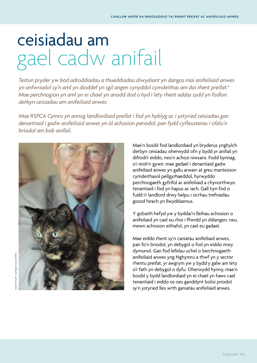# ceisiadau am gael cadw anifail

*Testun pryder yw bod adroddiadau a thueddiadau diwydiant yn dangos mai anifeiliaid anwes yn anfwriadol sy'n aml yn dioddef yn sgil angen cynyddol cymdeithas am dai rhent preifat.4 Mae perchnogion yn aml yn ei chael yn anodd dod o hyd i lety rhent addas sydd yn fodlon derbyn ceisiadau am anifeiliaid anwes.* 

*Mae RSPCA Cymru yn annog landlordiaid preifat i fod yn hyblyg ac i ystyried ceisiadau gan denantiaid i gadw anifeiliaid anwes yn ôl achosion penodol, pan fydd cyfleusterau i ofalu'n briodol am bob anifail.*



Mae'n bosibl fod landlordiaid yn bryderus ynghylch derbyn ceisiadau oherwydd ofn y bydd yr anifail yn difrodi'r eiddo, neu'n achosi niwsans. Fodd bynnag, o'i reoli'n gywir, mae gadael i denantiaid gadw anifeiliaid anwes yn gallu arwain at greu manteision cymdeithasol pellgyrhaeddol, hyrwyddo perchnogaeth gyfrifol ar anifeiliaid a chynorthwyo tenantiaid i fod yn hapus ac iach. Gall hyn fod o fudd i'r landlord drwy helpu i sicrhau trefniadau gosod hirach yn llwyddiannus.

Y gobaith hefyd yw y byddai'n lleihau achosion o anifeiliaid yn cael eu rhoi i ffwrdd yn ddiangen, neu, mewn achosion eithafol, yn cael eu gadael.

Mae eiddo rhent sy'n caniatáu anifeiliaid anwes, pan fo'n briodol, yn debygol o fod yn eiddo mwy dymunol. Gan fod lefelau uchel o berchnogaeth anifeiliaid anwes yng Nghymru a thwf yn y sector rhentu preifat, yr awgrym yw y bydd y galw am lety o'r fath yn debygol o dyfu. Oherwydd hynny, mae'n bosibl y bydd landlordiaid yn ei chael yn haws cael tenantiaid i eiddo os oes ganddynt bolisi priodol sy'n ystyried lles wrth ganiatáu anifeiliaid anwes.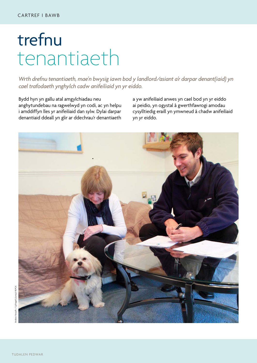# trefnu tenantiaeth

*Wrth drefnu tenantiaeth, mae'n bwysig iawn bod y landlord/asiant a'r darpar denant(iaid) yn cael trafodaeth ynghylch cadw anifeiliaid yn yr eiddo.*

Bydd hyn yn gallu atal amgylchiadau neu anghytundebau na ragwelwyd yn codi, ac yn helpu i amddiffyn lles yr anifeiliaid dan sylw. Dylai darpar denantiaid ddeall yn glir ar ddechrau'r denantiaeth

a yw anifeiliaid anwes yn cael bod yn yr eiddo ai peidio, yn ogystal â gwerthfawrogi amodau cysylltiedig eraill yn ymwneud â chadw anifeiliaid yn yr eiddo.

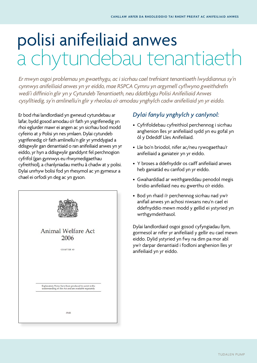# polisi anifeiliaid anwes a chytundebau tenantiaeth

*Er mwyn osgoi problemau yn gwaethygu, ac i sicrhau cael trefniant tenantiaeth lwyddiannus sy'n cynnwys anifeiliaid anwes yn yr eiddo, mae RSPCA Cymru yn argymell cyflwyno gweithdrefn wedi'i diffinio'n glir yn y Cytundeb Tenantiaeth, neu ddatblygu Polisi Anifeiliaid Anwes cysylltiedig, sy'n amlinellu'n glir y rheolau a'r amodau ynghylch cadw anifeiliaid yn yr eiddo.* 

Er bod rhai landlordiaid yn gwneud cytundebau ar lafar, bydd gosod amodau o'r fath yn ysgrifenedig yn rhoi eglurder mawr ei angen ac yn sicrhau bod modd cyfeirio at y Polisi yn nes ymlaen. Dylai cytundeb ysgrifenedig o'r fath amlinellu'n glir yr ymddygiad a ddisgwylir gan denantiaid o ran anifeiliaid anwes yn yr eiddo, yr hyn a ddisgwylir ganddynt fel perchnogion cyfrifol (gan gynnwys eu rhwymedigaethau cyfreithiol), a chanlyniadau methu â chadw at y polisi. Dylai unrhyw bolisi fod yn rhesymol ac yn gymesur a chael ei orfodi yn deg ac yn gyson.



#### *Dylai fanylu ynghylch y canlynol:*

- Cyfrifoldebau cyfreithiol perchennog i sicrhau anghenion lles yr anifeiliaid sydd yn eu gofal yn ôl y Ddeddf Lles Anifeiliaid.
- Lle bo'n briodol, nifer ac/neu rywogaethau'r anifeiliaid a ganiateir yn yr eiddo.
- Y broses a ddefnyddir os caiff anifeiliaid anwes heb ganiatâd eu canfod yn yr eiddo.
- Gwaharddiad ar weithgareddau penodol megis bridio anifeiliaid neu eu gwerthu o'r eiddo.
- Bod yn rhaid i'r perchennog sicrhau nad yw'r anifail anwes yn achosi niwsans neu'n cael ei ddefnyddio mewn modd y gellid ei ystyried yn wrthgymdeithasol.

Dylai landlordiaid osgoi gosod cyfyngiadau llym, gormesol ar nifer yr anifeiliaid y gellir eu cael mewn eiddo. Dylid ystyried yn fwy na dim pa mor abl yw'r darpar denantiaid i fodloni anghenion lles yr anifeiliaid yn yr eiddo.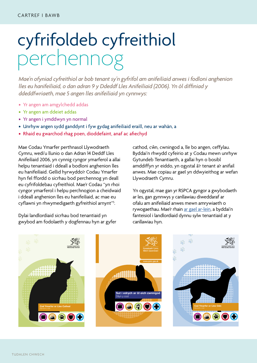# cyfrifoldeb cyfreithiol perchennog

*Mae'n ofyniad cyfreithiol ar bob tenant sy'n gyfrifol am anifeiliaid anwes i fodloni anghenion lles eu hanifeiliaid, o dan adran 9 y Ddeddf Lles Anifeiliaid (2006). Yn ôl diffiniad y ddeddfwriaeth, mae 5 angen lles anifeiliaid yn cynnwys:*

- Yr angen am amgylchedd addas
- Yr angen am ddeiet addas
- Yr angen i ymddwyn yn normal
- Unrhyw angen sydd ganddynt i fyw gydag anifeiliaid eraill, neu ar wahân, a
- Rhaid eu gwarchod rhag poen, dioddefaint, anaf ac afiechyd

Mae Codau Ymarfer perthnasol Llywodraeth Cymru, wedi'u llunio o dan Adran 14 Deddf Lles Anifeiliaid 2006, yn cynnig cyngor ymarferol a allai helpu tenantiaid i ddeall a bodloni anghenion lles eu hanifeiliaid. Gellid hyrwyddo'r Codau Ymarfer hyn fel ffordd o sicrhau bod perchennog yn deall eu cyfrifoldebau cyfreithiol. Mae'r Codau "yn rhoi cyngor ymarferol i helpu perchnogion a cheidwaid i ddeall anghenion lles eu hanifeiliaid, ac mae eu cyflawni yn rhwymedigaeth gyfreithiol arnynt"<sup>5</sup>.

Dylai landlordiaid sicrhau bod tenantiaid yn gwybod am fodolaeth y dogfennau hyn ar gyfer cathod, cŵn, cwningod a, lle bo angen, ceffylau. Byddai'n rhwydd cyfeirio at y Codau mewn unrhyw Gytundeb Tenantiaeth, a gallai hyn o bosibl amddiffyn yr eiddo, yn ogystal â'r tenant a'r anifail anwes. Mae copïau ar gael yn ddwyieithog ar wefan Llywodraeth Cymru.

Yn ogystal, mae gan yr RSPCA gyngor a gwybodaeth ar les, gan gynnwys y canllawiau diweddaraf ar ofalu am anifeiliaid anwes mewn amrywiaeth o rywogaethau. Mae'r rhain [ar gael ar-lein,](http://gov.wales/topics/environmentcountryside/ahw/animalwelfare/pets/codesofpractice/?skip=1&lang=cy) a byddai'n fanteisiol i landlordiaid dynnu sylw tenantiaid at y canllawiau hyn.

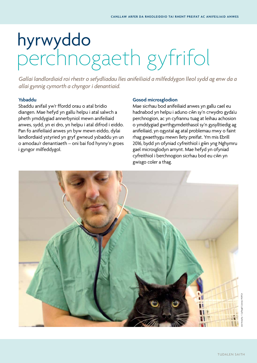# hyrwyddo perchnogaeth gyfrifol

*Gallai landlordiaid roi rhestr o sefydliadau lles anifeiliaid a milfeddygon lleol sydd ag enw da a allai gynnig cymorth a chyngor i denantiaid.* 

#### **Ysbaddu**

Sbaddu anifail yw'r ffordd orau o atal bridio diangen. Mae hefyd yn gallu helpu i atal salwch a pheth ymddygiad annerbyniol mewn anifeiliaid anwes, sydd, yn ei dro, yn helpu i atal difrod i eiddo. Pan fo anifeiliaid anwes yn byw mewn eiddo, dylai landlordiaid ystyried yn gryf gwneud ysbaddu yn un o amodau'r denantiaeth – oni bai fod hynny'n groes i gyngor milfeddygol.

#### **Gosod microsglodion**

Mae sicrhau bod anifeiliaid anwes yn gallu cael eu hadnabod yn helpu i aduno cŵn sy'n crwydro gyda'u perchnogion, ac yn cyfrannu tuag at leihau achosion o ymddygiad gwrthgymdeithasol sy'n gysylltiedig ag anifeiliaid, yn ogystal ag atal problemau mwy o faint rhag gwaethygu mewn llety preifat. Ym mis Ebrill 2016, bydd yn ofyniad cyfreithiol i gŵn yng Nghymru gael microsglodyn arnynt. Mae hefyd yn ofyniad cyfreithiol i berchnogion sicrhau bod eu cŵn yn gwisgo coler a thag.

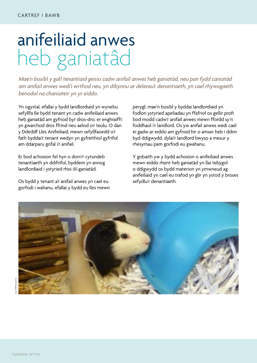# anifeiliaid anwes heb ganiatâd

*Mae'n bosibl y gall tenantiaid geisio cadw anifail anwes heb ganiatâd, neu pan fydd caniatâd am anifail anwes wedi'i wrthod neu, yn dibynnu ar delerau'r denantiaeth, yn cael rhywogaeth benodol na chaniateir yn yr eiddo.* 

Yn ogystal, efallai y bydd landlordiaid yn wynebu sefyllfa lle bydd tenant yn cadw anifeiliaid anwes heb ganiatâd am gyfnod byr dros-dro; er enghraifft yn gwarchod dros ffrind neu aelod o'r teulu. O dan y Ddeddf Lles Anifeiliaid, mewn sefyllfaoedd o'r fath byddai'r tenant wedyn yn gyfreithiol gyfrifol am ddarparu gofal i'r anifail.

Er bod achosion fel hyn o dorri'r cytundeb tenantiaeth yn ddifrifol, byddem yn annog landlordiaid i ystyried rhoi ôl-ganiatâd.

Os bydd y tenant a'r anifail anwes yn cael eu gorfodi i wahanu, efallai y bydd eu lles mewn perygl; mae'n bosibl y byddai landlordiaid yn fodlon ystyried apeliadau yn ffafriol os gellir profi bod modd cadw'r anifail anwes mewn ffordd sy'n foddhaol i'r landlord. Os yw anifail anwes wedi cael ei gadw ar eiddo am gyfnod hir o amser heb i ddim byd ddigwydd, dylai'r landlord bwyso a mesur y rhesymau pam gorfodi eu gwahanu.

Y gobaith yw y bydd achosion o anifeiliaid anwes mewn eiddo rhent heb ganiatâd yn llai tebygol o ddigwydd os bydd materion yn ymwneud ag anifeiliaid yn cael eu trafod yn glir yn ystod y broses sefydlu'r denantiaeth.

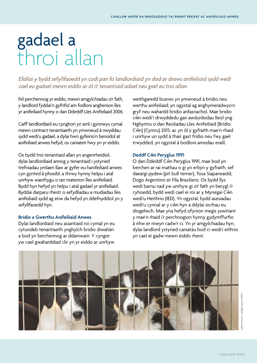### gadael a throi allan

*Efallai y bydd sefyllfaoedd yn codi pan fo landlordiaid yn dod ar draws anifeiliaid sydd wedi cael eu gadael mewn eiddo ar ôl i'r tenantiaid adael neu gael eu troi allan.* 

Fel perchennog yr eiddo, mewn amgylchiadau o'r fath, y landlord fyddai'n gyfrifol am fodloni anghenion lles yr anifeiliaid hynny o dan Ddeddf Lles Anifeiliaid 2006.

Caiff landlordiaid eu cynghori yn aml i gynnwys cymal mewn contract tenantiaeth yn ymwneud â nwyddau sydd wedi'u gadael, a dylai hwn gyfeirio'n benodol at anifeiliaid anwes hefyd, os caniateir hwy yn yr eiddo.

Os bydd troi tenantiaid allan yn angenrheidiol, dylai landlordiaid annog y tenantiaid i ystyried trefniadau ymlaen llaw ar gyfer eu hanifeiliaid anwes cyn gynted â phosibl, a thrwy hynny helpu i atal unrhyw waethygu o ran materion lles anifeiliaid. Bydd hyn hefyd yn helpu i atal gadael yr anifeiliaid. Byddai darparu rhestr o sefydliadau a mudiadau lles anifeiliaid sydd ag enw da hefyd yn ddefnyddiol yn y sefyllfaoedd hyn.

#### **Bridio a Gwerthu Anifeiliaid Anwes**

Dylai landlordiaid neu asiantiaid roi cymal yn eu cytundeb tenantiaeth ynghylch bridio diwahân a bod yn berchennog ar ddamwain. Y cyngor yw cael gwaharddiad clir yn yr eiddo ar unrhyw

weithgaredd busnes yn ymwneud â bridio neu werthu anifeiliaid; yn ogystal ag anghymeradwyo'n gryf neu wahardd bridio anfasnachol. Mae bridio cŵn wedi'i drwyddedu gan awdurdodau lleol yng Nghymru o dan Reoliadau Lles Anifeiliaid (Bridio Cŵn) (Cymru) 2015, ac yn ôl y gyfraith mae'n rhaid i unrhyw un sydd â thair gast fridio neu fwy gael trwydded, yn ogystal â bodloni amodau eraill.

#### **Deddf Cwˆn Peryglus 1991**

O dan Ddeddf Cŵn Peryglus 1991, mae bod yn berchen ar rai mathau o gi yn erbyn y gyfraith, sef daeargi pydew (pit bull terrier), Tosa Siapaneaidd, Dogo Argentino a'r Fila Braziliero. Os bydd llys wedi barnu nad yw unrhyw gi o'r fath yn berygl i'r cyhoedd, bydd wedi cael ei roi ar y Mynegai Cŵn wedi'u Heithrio (IED). Yn ogystal, bydd asesiadau wedi'u cynnal ar y cŵn hyn a ddylai sicrhau eu diogelwch. Mae yna hefyd ofynion megis yswiriant y mae'n rhaid i'r perchnogion hynny gydymffurfio â nhw er mwyn cadw'r ci. Yn yr amgylchiadau hyn, dylai landlord ystyried caniatáu bod ci wedi'i eithrio yn cael ei gadw mewn eiddo rhent.